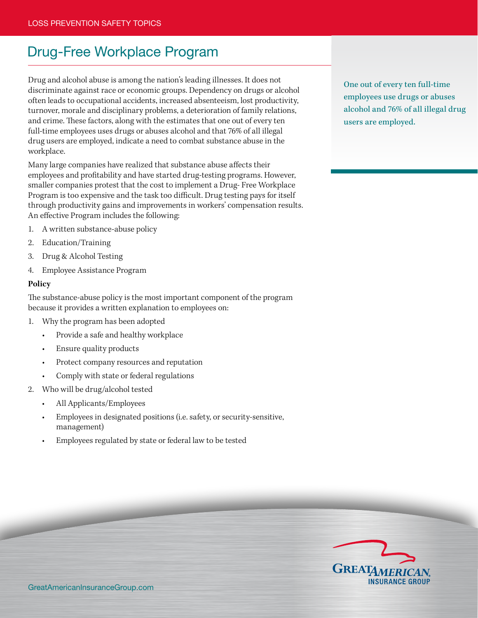# Drug-Free Workplace Program

Drug and alcohol abuse is among the nation's leading illnesses. It does not discriminate against race or economic groups. Dependency on drugs or alcohol often leads to occupational accidents, increased absenteeism, lost productivity, turnover, morale and disciplinary problems, a deterioration of family relations, and crime. These factors, along with the estimates that one out of every ten full-time employees uses drugs or abuses alcohol and that 76% of all illegal drug users are employed, indicate a need to combat substance abuse in the workplace.

Many large companies have realized that substance abuse affects their employees and profitability and have started drug-testing programs. However, smaller companies protest that the cost to implement a Drug- Free Workplace Program is too expensive and the task too difficult. Drug testing pays for itself through productivity gains and improvements in workers' compensation results. An effective Program includes the following:

- 1. A written substance-abuse policy
- 2. Education/Training
- 3. Drug & Alcohol Testing
- 4. Employee Assistance Program

#### **Policy**

The substance-abuse policy is the most important component of the program because it provides a written explanation to employees on:

- 1. Why the program has been adopted
	- Provide a safe and healthy workplace
	- Ensure quality products
	- Protect company resources and reputation
	- Comply with state or federal regulations
- 2. Who will be drug/alcohol tested
	- All Applicants/Employees
	- Employees in designated positions (i.e. safety, or security-sensitive, management)
	- Employees regulated by state or federal law to be tested

One out of every ten full-time employees use drugs or abuses alcohol and 76% of all illegal drug users are employed.

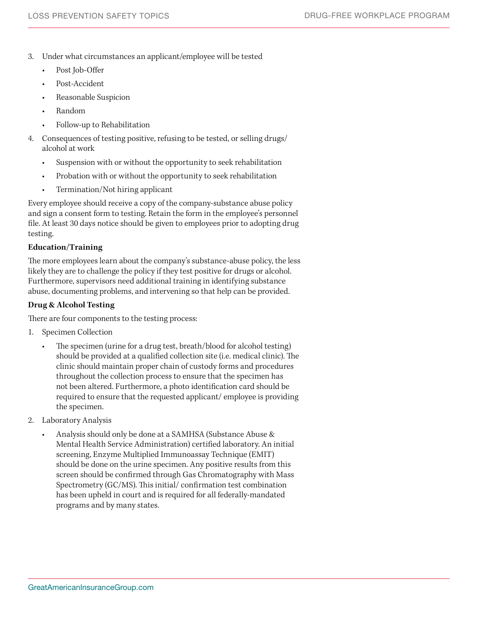- 3. Under what circumstances an applicant/employee will be tested
	- Post Job-Offer
	- Post-Accident
	- Reasonable Suspicion
	- **Random**
	- Follow-up to Rehabilitation
- 4. Consequences of testing positive, refusing to be tested, or selling drugs/ alcohol at work
	- Suspension with or without the opportunity to seek rehabilitation
	- Probation with or without the opportunity to seek rehabilitation
	- Termination/Not hiring applicant

Every employee should receive a copy of the company-substance abuse policy and sign a consent form to testing. Retain the form in the employee's personnel file. At least 30 days notice should be given to employees prior to adopting drug testing.

## **Education/Training**

The more employees learn about the company's substance-abuse policy, the less likely they are to challenge the policy if they test positive for drugs or alcohol. Furthermore, supervisors need additional training in identifying substance abuse, documenting problems, and intervening so that help can be provided.

# **Drug & Alcohol Testing**

There are four components to the testing process:

- 1. Specimen Collection
	- The specimen (urine for a drug test, breath/blood for alcohol testing) should be provided at a qualified collection site (i.e. medical clinic). The clinic should maintain proper chain of custody forms and procedures throughout the collection process to ensure that the specimen has not been altered. Furthermore, a photo identification card should be required to ensure that the requested applicant/ employee is providing the specimen.
- 2. Laboratory Analysis
	- Analysis should only be done at a SAMHSA (Substance Abuse & Mental Health Service Administration) certified laboratory. An initial screening, Enzyme Multiplied Immunoassay Technique (EMIT) should be done on the urine specimen. Any positive results from this screen should be confirmed through Gas Chromatography with Mass Spectrometry (GC/MS). This initial/ confirmation test combination has been upheld in court and is required for all federally-mandated programs and by many states.